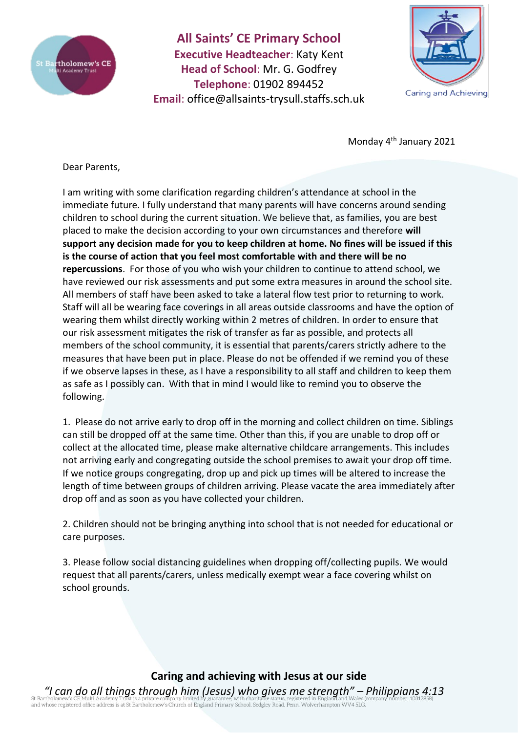

**All Saints' CE Primary School Executive Headteacher**: Katy Kent **Head of School**: Mr. G. Godfrey **Telephone**: 01902 894452 **Email**: [office@allsaints-trysull.staffs.sch.uk](mailto:office@allsaints-trysull.staffs.sch.uk)



Monday 4th January 2021

Dear Parents,

I am writing with some clarification regarding children's attendance at school in the immediate future. I fully understand that many parents will have concerns around sending children to school during the current situation. We believe that, as families, you are best placed to make the decision according to your own circumstances and therefore **will support any decision made for you to keep children at home. No fines will be issued if this is the course of action that you feel most comfortable with and there will be no repercussions**. For those of you who wish your children to continue to attend school, we have reviewed our risk assessments and put some extra measures in around the school site. All members of staff have been asked to take a lateral flow test prior to returning to work. Staff will all be wearing face coverings in all areas outside classrooms and have the option of wearing them whilst directly working within 2 metres of children. In order to ensure that our risk assessment mitigates the risk of transfer as far as possible, and protects all members of the school community, it is essential that parents/carers strictly adhere to the measures that have been put in place. Please do not be offended if we remind you of these if we observe lapses in these, as I have a responsibility to all staff and children to keep them as safe as I possibly can. With that in mind I would like to remind you to observe the following.

1. Please do not arrive early to drop off in the morning and collect children on time. Siblings can still be dropped off at the same time. Other than this, if you are unable to drop off or collect at the allocated time, please make alternative childcare arrangements. This includes not arriving early and congregating outside the school premises to await your drop off time. If we notice groups congregating, drop up and pick up times will be altered to increase the length of time between groups of children arriving. Please vacate the area immediately after drop off and as soon as you have collected your children.

2. Children should not be bringing anything into school that is not needed for educational or care purposes.

3. Please follow social distancing guidelines when dropping off/collecting pupils. We would request that all parents/carers, unless medically exempt wear a face covering whilst on school grounds.

## **Caring and achieving with Jesus at our side**

*"I can do all things through him (Jesus) who gives me strength" – Philippians 4:13* of a discovering of the discovering in the product of England Primary School, Sedgley Road, Penn, Wolverhampton WV4 5LG.<br>and whose registered office address is at St Bartholomew's Church of England Primary School, Sedgley